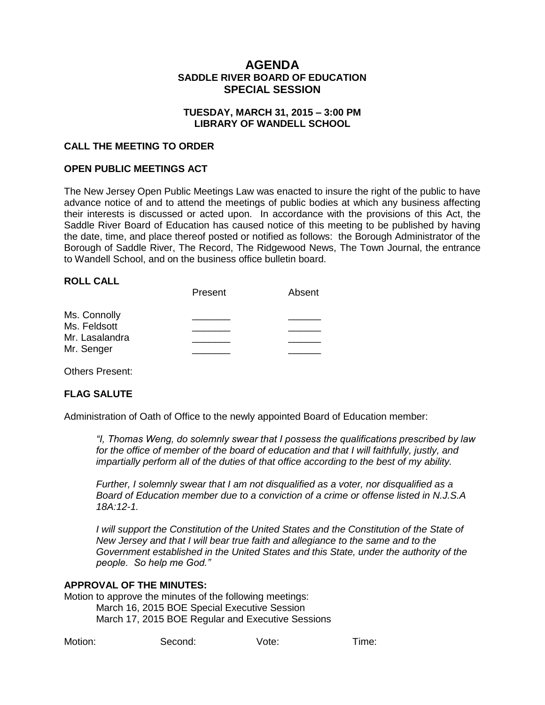# **AGENDA SADDLE RIVER BOARD OF EDUCATION SPECIAL SESSION**

## **TUESDAY, MARCH 31, 2015 – 3:00 PM LIBRARY OF WANDELL SCHOOL**

#### **CALL THE MEETING TO ORDER**

#### **OPEN PUBLIC MEETINGS ACT**

The New Jersey Open Public Meetings Law was enacted to insure the right of the public to have advance notice of and to attend the meetings of public bodies at which any business affecting their interests is discussed or acted upon. In accordance with the provisions of this Act, the Saddle River Board of Education has caused notice of this meeting to be published by having the date, time, and place thereof posted or notified as follows: the Borough Administrator of the Borough of Saddle River, The Record, The Ridgewood News, The Town Journal, the entrance to Wandell School, and on the business office bulletin board.

#### **ROLL CALL**

|                | Present | Absent |
|----------------|---------|--------|
| Ms. Connolly   |         |        |
| Ms. Feldsott   |         |        |
| Mr. Lasalandra |         |        |
| Mr. Senger     |         |        |

Others Present:

#### **FLAG SALUTE**

Administration of Oath of Office to the newly appointed Board of Education member:

*"I, Thomas Weng, do solemnly swear that I possess the qualifications prescribed by law for the office of member of the board of education and that I will faithfully, justly, and impartially perform all of the duties of that office according to the best of my ability.* 

*Further, I solemnly swear that I am not disqualified as a voter, nor disqualified as a Board of Education member due to a conviction of a crime or offense listed in N.J.S.A 18A:12-1.*

*I* will support the Constitution of the United States and the Constitution of the State of *New Jersey and that I will bear true faith and allegiance to the same and to the Government established in the United States and this State, under the authority of the people. So help me God."*

#### **APPROVAL OF THE MINUTES:**

Motion to approve the minutes of the following meetings: March 16, 2015 BOE Special Executive Session March 17, 2015 BOE Regular and Executive Sessions

| Motion: | Second: | Vote: | Time: |
|---------|---------|-------|-------|
|         |         |       |       |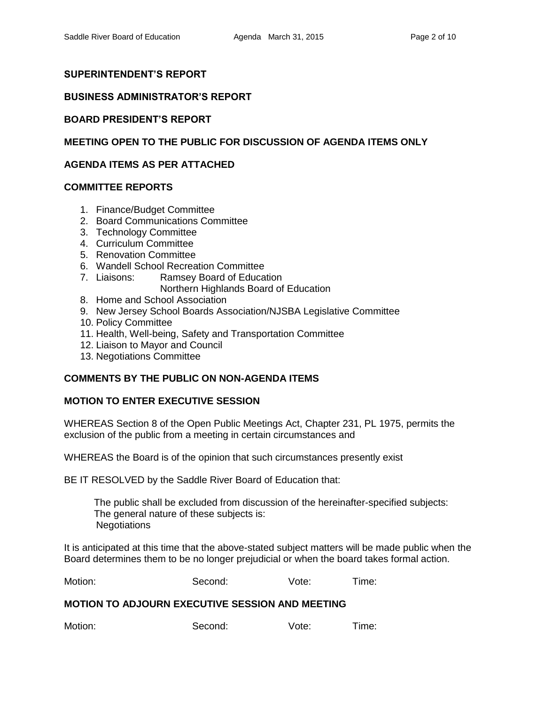# **SUPERINTENDENT'S REPORT**

## **BUSINESS ADMINISTRATOR'S REPORT**

## **BOARD PRESIDENT'S REPORT**

# **MEETING OPEN TO THE PUBLIC FOR DISCUSSION OF AGENDA ITEMS ONLY**

## **AGENDA ITEMS AS PER ATTACHED**

### **COMMITTEE REPORTS**

- 1. Finance/Budget Committee
- 2. Board Communications Committee
- 3. Technology Committee
- 4. Curriculum Committee
- 5. Renovation Committee
- 6. Wandell School Recreation Committee
- 7. Liaisons: Ramsey Board of Education
	- Northern Highlands Board of Education
- 8. Home and School Association
- 9. New Jersey School Boards Association/NJSBA Legislative Committee
- 10. Policy Committee
- 11. Health, Well-being, Safety and Transportation Committee
- 12. Liaison to Mayor and Council
- 13. Negotiations Committee

# **COMMENTS BY THE PUBLIC ON NON-AGENDA ITEMS**

#### **MOTION TO ENTER EXECUTIVE SESSION**

WHEREAS Section 8 of the Open Public Meetings Act, Chapter 231, PL 1975, permits the exclusion of the public from a meeting in certain circumstances and

WHEREAS the Board is of the opinion that such circumstances presently exist

BE IT RESOLVED by the Saddle River Board of Education that:

 The public shall be excluded from discussion of the hereinafter-specified subjects: The general nature of these subjects is: **Negotiations** 

It is anticipated at this time that the above-stated subject matters will be made public when the Board determines them to be no longer prejudicial or when the board takes formal action.

| Motion: | Second: | Vote: | Time: |
|---------|---------|-------|-------|
|         |         |       |       |

#### **MOTION TO ADJOURN EXECUTIVE SESSION AND MEETING**

Motion: Second: Vote: Time: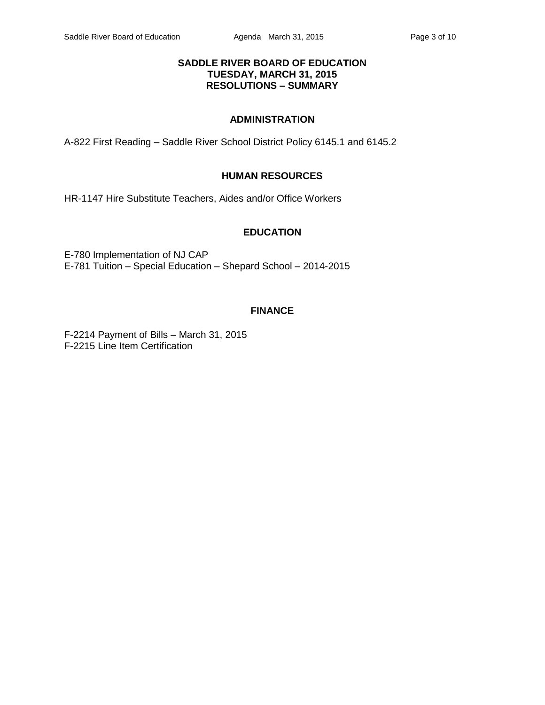## **SADDLE RIVER BOARD OF EDUCATION TUESDAY, MARCH 31, 2015 RESOLUTIONS – SUMMARY**

# **ADMINISTRATION**

A-822 First Reading – Saddle River School District Policy 6145.1 and 6145.2

# **HUMAN RESOURCES**

HR-1147 Hire Substitute Teachers, Aides and/or Office Workers

## **EDUCATION**

E-780 Implementation of NJ CAP E-781 Tuition – Special Education – Shepard School – 2014-2015

# **FINANCE**

F-2214 Payment of Bills – March 31, 2015 F-2215 Line Item Certification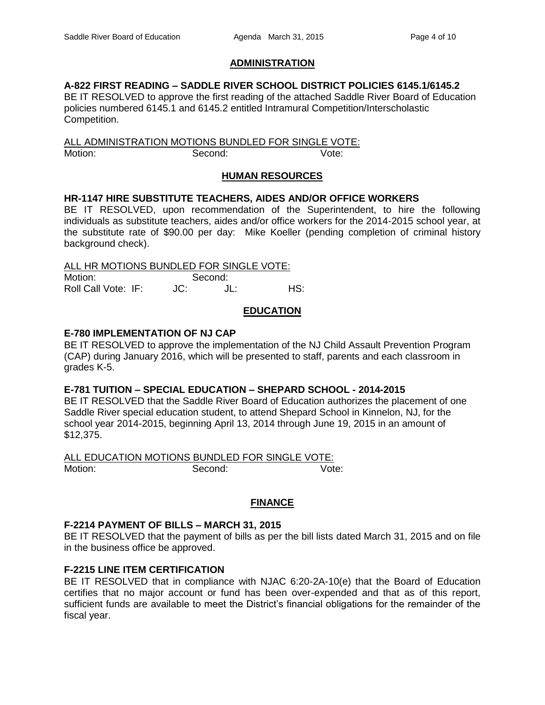# **ADMINISTRATION**

# **A-822 FIRST READING – SADDLE RIVER SCHOOL DISTRICT POLICIES 6145.1/6145.2**

BE IT RESOLVED to approve the first reading of the attached Saddle River Board of Education policies numbered 6145.1 and 6145.2 entitled Intramural Competition/Interscholastic Competition.

ALL ADMINISTRATION MOTIONS BUNDLED FOR SINGLE VOTE: Motion: Second: Vote:

## **HUMAN RESOURCES**

## **HR-1147 HIRE SUBSTITUTE TEACHERS, AIDES AND/OR OFFICE WORKERS**

BE IT RESOLVED, upon recommendation of the Superintendent, to hire the following individuals as substitute teachers, aides and/or office workers for the 2014-2015 school year, at the substitute rate of \$90.00 per day: Mike Koeller (pending completion of criminal history background check).

ALL HR MOTIONS BUNDLED FOR SINGLE VOTE:

Motion: Second: Roll Call Vote: IF: JC: JL: HS:

# **EDUCATION**

## **E-780 IMPLEMENTATION OF NJ CAP**

BE IT RESOLVED to approve the implementation of the NJ Child Assault Prevention Program (CAP) during January 2016, which will be presented to staff, parents and each classroom in grades K-5.

#### **E-781 TUITION – SPECIAL EDUCATION – SHEPARD SCHOOL - 2014-2015**

BE IT RESOLVED that the Saddle River Board of Education authorizes the placement of one Saddle River special education student, to attend Shepard School in Kinnelon, NJ, for the school year 2014-2015, beginning April 13, 2014 through June 19, 2015 in an amount of \$12,375.

ALL EDUCATION MOTIONS BUNDLED FOR SINGLE VOTE: Motion: Second: Second: Vote:

# **FINANCE**

#### **F-2214 PAYMENT OF BILLS – MARCH 31, 2015**

BE IT RESOLVED that the payment of bills as per the bill lists dated March 31, 2015 and on file in the business office be approved.

# **F-2215 LINE ITEM CERTIFICATION**

BE IT RESOLVED that in compliance with NJAC 6:20-2A-10(e) that the Board of Education certifies that no major account or fund has been over-expended and that as of this report, sufficient funds are available to meet the District's financial obligations for the remainder of the fiscal year.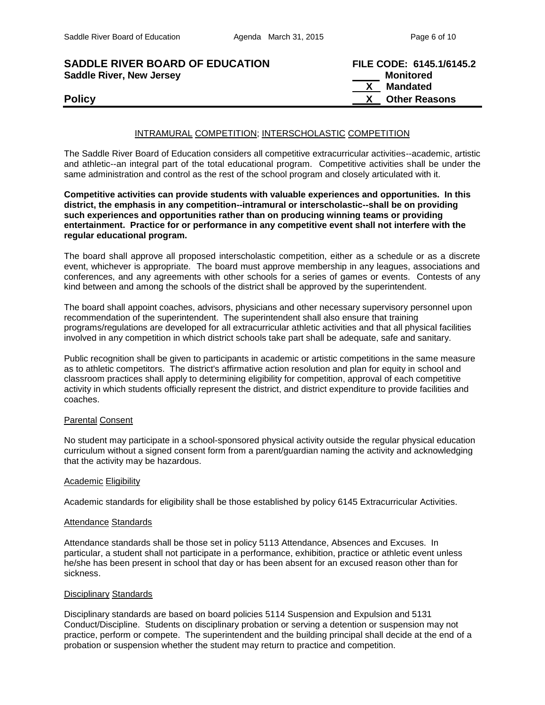| <b>SADDLE RIVER BOARD OF EDUCATION</b> | FILE CODE: 6145.1/6145.2             |
|----------------------------------------|--------------------------------------|
| <b>Saddle River, New Jersey</b>        | Monitored                            |
|                                        | X \<br>Mandated                      |
| <b>Policy</b>                          | <b>Other Reasons</b><br>$\mathsf{X}$ |

#### INTRAMURAL COMPETITION; INTERSCHOLASTIC COMPETITION

The Saddle River Board of Education considers all competitive extracurricular activities--academic, artistic and athletic--an integral part of the total educational program. Competitive activities shall be under the same administration and control as the rest of the school program and closely articulated with it.

**Competitive activities can provide students with valuable experiences and opportunities. In this district, the emphasis in any competition--intramural or interscholastic--shall be on providing such experiences and opportunities rather than on producing winning teams or providing entertainment. Practice for or performance in any competitive event shall not interfere with the regular educational program.**

The board shall approve all proposed interscholastic competition, either as a schedule or as a discrete event, whichever is appropriate. The board must approve membership in any leagues, associations and conferences, and any agreements with other schools for a series of games or events. Contests of any kind between and among the schools of the district shall be approved by the superintendent.

The board shall appoint coaches, advisors, physicians and other necessary supervisory personnel upon recommendation of the superintendent. The superintendent shall also ensure that training programs/regulations are developed for all extracurricular athletic activities and that all physical facilities involved in any competition in which district schools take part shall be adequate, safe and sanitary.

Public recognition shall be given to participants in academic or artistic competitions in the same measure as to athletic competitors. The district's affirmative action resolution and plan for equity in school and classroom practices shall apply to determining eligibility for competition, approval of each competitive activity in which students officially represent the district, and district expenditure to provide facilities and coaches.

#### Parental Consent

No student may participate in a school-sponsored physical activity outside the regular physical education curriculum without a signed consent form from a parent/guardian naming the activity and acknowledging that the activity may be hazardous.

#### Academic Eligibility

Academic standards for eligibility shall be those established by policy 6145 Extracurricular Activities.

#### Attendance Standards

Attendance standards shall be those set in policy 5113 Attendance, Absences and Excuses. In particular, a student shall not participate in a performance, exhibition, practice or athletic event unless he/she has been present in school that day or has been absent for an excused reason other than for sickness.

#### Disciplinary Standards

Disciplinary standards are based on board policies 5114 Suspension and Expulsion and 5131 Conduct/Discipline. Students on disciplinary probation or serving a detention or suspension may not practice, perform or compete. The superintendent and the building principal shall decide at the end of a probation or suspension whether the student may return to practice and competition.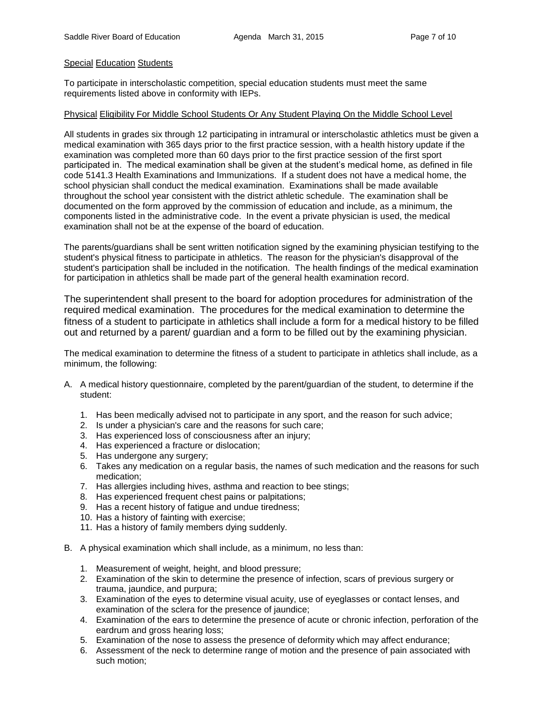#### Special Education Students

To participate in interscholastic competition, special education students must meet the same requirements listed above in conformity with IEPs.

#### Physical Eligibility For Middle School Students Or Any Student Playing On the Middle School Level

All students in grades six through 12 participating in intramural or interscholastic athletics must be given a medical examination with 365 days prior to the first practice session, with a health history update if the examination was completed more than 60 days prior to the first practice session of the first sport participated in. The medical examination shall be given at the student's medical home, as defined in file code 5141.3 Health Examinations and Immunizations. If a student does not have a medical home, the school physician shall conduct the medical examination. Examinations shall be made available throughout the school year consistent with the district athletic schedule. The examination shall be documented on the form approved by the commission of education and include, as a minimum, the components listed in the administrative code. In the event a private physician is used, the medical examination shall not be at the expense of the board of education.

The parents/guardians shall be sent written notification signed by the examining physician testifying to the student's physical fitness to participate in athletics. The reason for the physician's disapproval of the student's participation shall be included in the notification. The health findings of the medical examination for participation in athletics shall be made part of the general health examination record.

The superintendent shall present to the board for adoption procedures for administration of the required medical examination. The procedures for the medical examination to determine the fitness of a student to participate in athletics shall include a form for a medical history to be filled out and returned by a parent/ guardian and a form to be filled out by the examining physician.

The medical examination to determine the fitness of a student to participate in athletics shall include, as a minimum, the following:

- A. A medical history questionnaire, completed by the parent/guardian of the student, to determine if the student:
	- 1. Has been medically advised not to participate in any sport, and the reason for such advice;
	- 2. Is under a physician's care and the reasons for such care;
	- 3. Has experienced loss of consciousness after an injury;
	- 4. Has experienced a fracture or dislocation;
	- 5. Has undergone any surgery;
	- 6. Takes any medication on a regular basis, the names of such medication and the reasons for such medication;
	- 7. Has allergies including hives, asthma and reaction to bee stings;
	- 8. Has experienced frequent chest pains or palpitations;
	- 9. Has a recent history of fatigue and undue tiredness;
	- 10. Has a history of fainting with exercise;
	- 11. Has a history of family members dying suddenly.
- B. A physical examination which shall include, as a minimum, no less than:
	- 1. Measurement of weight, height, and blood pressure;
	- 2. Examination of the skin to determine the presence of infection, scars of previous surgery or trauma, jaundice, and purpura;
	- 3. Examination of the eyes to determine visual acuity, use of eyeglasses or contact lenses, and examination of the sclera for the presence of jaundice;
	- 4. Examination of the ears to determine the presence of acute or chronic infection, perforation of the eardrum and gross hearing loss;
	- 5. Examination of the nose to assess the presence of deformity which may affect endurance;
	- 6. Assessment of the neck to determine range of motion and the presence of pain associated with such motion;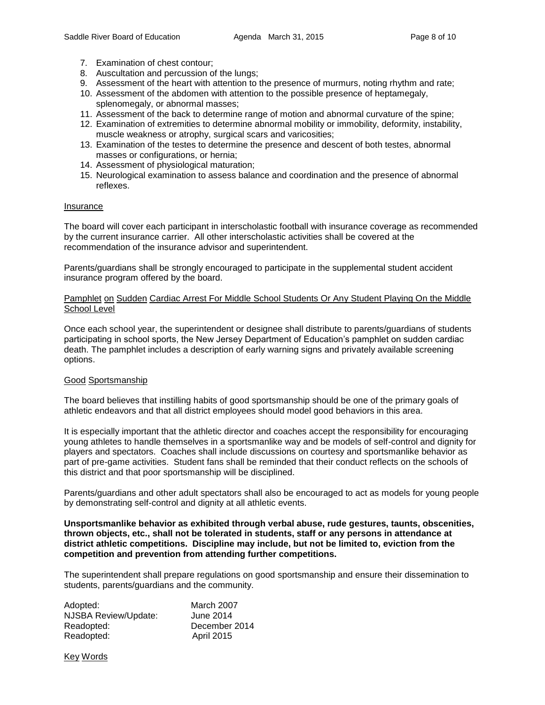- 7. Examination of chest contour;
- 8. Auscultation and percussion of the lungs;
- 9. Assessment of the heart with attention to the presence of murmurs, noting rhythm and rate;
- 10. Assessment of the abdomen with attention to the possible presence of heptamegaly, splenomegaly, or abnormal masses;
- 11. Assessment of the back to determine range of motion and abnormal curvature of the spine;
- 12. Examination of extremities to determine abnormal mobility or immobility, deformity, instability, muscle weakness or atrophy, surgical scars and varicosities;
- 13. Examination of the testes to determine the presence and descent of both testes, abnormal masses or configurations, or hernia;
- 14. Assessment of physiological maturation;
- 15. Neurological examination to assess balance and coordination and the presence of abnormal reflexes.

#### Insurance

The board will cover each participant in interscholastic football with insurance coverage as recommended by the current insurance carrier. All other interscholastic activities shall be covered at the recommendation of the insurance advisor and superintendent.

Parents/guardians shall be strongly encouraged to participate in the supplemental student accident insurance program offered by the board.

#### Pamphlet on Sudden Cardiac Arrest For Middle School Students Or Any Student Playing On the Middle School Level

Once each school year, the superintendent or designee shall distribute to parents/guardians of students participating in school sports, the New Jersey Department of Education's pamphlet on sudden cardiac death. The pamphlet includes a description of early warning signs and privately available screening options.

#### Good Sportsmanship

The board believes that instilling habits of good sportsmanship should be one of the primary goals of athletic endeavors and that all district employees should model good behaviors in this area.

It is especially important that the athletic director and coaches accept the responsibility for encouraging young athletes to handle themselves in a sportsmanlike way and be models of self-control and dignity for players and spectators. Coaches shall include discussions on courtesy and sportsmanlike behavior as part of pre-game activities. Student fans shall be reminded that their conduct reflects on the schools of this district and that poor sportsmanship will be disciplined.

Parents/guardians and other adult spectators shall also be encouraged to act as models for young people by demonstrating self-control and dignity at all athletic events.

#### **Unsportsmanlike behavior as exhibited through verbal abuse, rude gestures, taunts, obscenities, thrown objects, etc., shall not be tolerated in students, staff or any persons in attendance at district athletic competitions. Discipline may include, but not be limited to, eviction from the competition and prevention from attending further competitions.**

The superintendent shall prepare regulations on good sportsmanship and ensure their dissemination to students, parents/guardians and the community.

| March 2007        |
|-------------------|
| June 2014         |
| December 2014     |
| <b>April 2015</b> |
|                   |

Key Words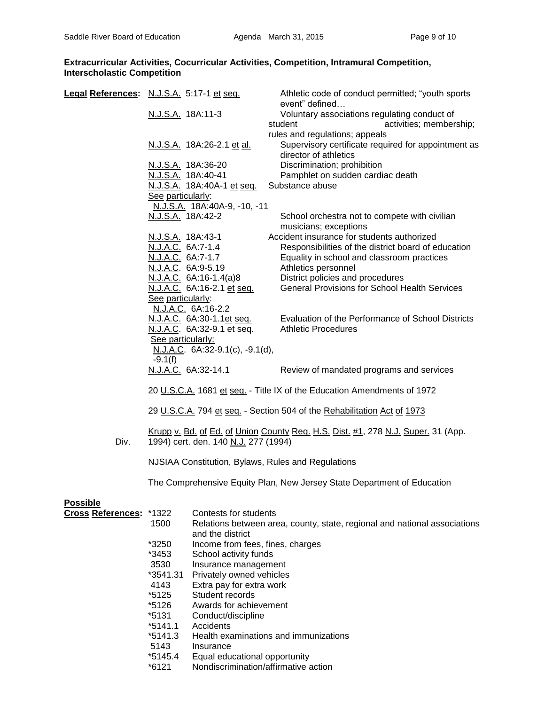#### **Extracurricular Activities, Cocurricular Activities, Competition, Intramural Competition, Interscholastic Competition**

| Legal References: N.J.S.A. 5:17-1 et seq. |                          |                                       | Athletic code of conduct permitted; "youth sports                                       |  |
|-------------------------------------------|--------------------------|---------------------------------------|-----------------------------------------------------------------------------------------|--|
|                                           | N.J.S.A. 18A:11-3        |                                       | event" defined<br>Voluntary associations regulating conduct of                          |  |
|                                           |                          |                                       | activities; membership;<br>student                                                      |  |
|                                           |                          |                                       | rules and regulations; appeals                                                          |  |
|                                           |                          | N.J.S.A. 18A:26-2.1 et al.            | Supervisory certificate required for appointment as<br>director of athletics            |  |
|                                           |                          | N.J.S.A. 18A:36-20                    | Discrimination; prohibition                                                             |  |
|                                           | N.J.S.A. 18A:40-41       |                                       | Pamphlet on sudden cardiac death                                                        |  |
|                                           |                          | N.J.S.A. 18A:40A-1 et seq.            | Substance abuse                                                                         |  |
|                                           | See particularly:        |                                       |                                                                                         |  |
|                                           | N.J.S.A. 18A:42-2        | N.J.S.A. 18A:40A-9, -10, -11          | School orchestra not to compete with civilian                                           |  |
|                                           |                          |                                       | musicians; exceptions                                                                   |  |
|                                           | <u>N.J.S.A.</u> 18A:43-1 |                                       | Accident insurance for students authorized                                              |  |
|                                           | N.J.A.C. 6A:7-1.4        |                                       | Responsibilities of the district board of education                                     |  |
|                                           | N.J.A.C. 6A:7-1.7        |                                       | Equality in school and classroom practices                                              |  |
|                                           | N.J.A.C. 6A:9-5.19       |                                       | Athletics personnel                                                                     |  |
|                                           |                          | <u>N.J.A.C.</u> 6A:16-1.4(a)8         | District policies and procedures                                                        |  |
|                                           |                          | N.J.A.C. 6A:16-2.1 et seq.            | <b>General Provisions for School Health Services</b>                                    |  |
|                                           | See particularly:        |                                       |                                                                                         |  |
|                                           |                          | N.J.A.C. 6A:16-2.2                    |                                                                                         |  |
|                                           |                          | N.J.A.C. 6A:30-1.1et seq.             | Evaluation of the Performance of School Districts<br><b>Athletic Procedures</b>         |  |
|                                           | See particularly:        | N.J.A.C. 6A:32-9.1 et seq.            |                                                                                         |  |
|                                           |                          | N.J.A.C. $6A:32-9.1(c)$ , $-9.1(d)$ , |                                                                                         |  |
|                                           | $-9.1(f)$                |                                       |                                                                                         |  |
|                                           |                          | N.J.A.C. 6A:32-14.1                   | Review of mandated programs and services                                                |  |
|                                           |                          |                                       | 20 U.S.C.A. 1681 et seq. - Title IX of the Education Amendments of 1972                 |  |
|                                           |                          |                                       | 29 U.S.C.A. 794 et seq. - Section 504 of the Rehabilitation Act of 1973                 |  |
| Div.                                      |                          | 1994) cert. den. 140 N.J. 277 (1994)  | <u>Krupp v. Bd. of Ed. of Union County Reg. H.S. Dist. #1, 278 N.J. Super.</u> 31 (App. |  |
|                                           |                          |                                       | NJSIAA Constitution, Bylaws, Rules and Regulations                                      |  |
|                                           |                          |                                       | The Comprehensive Equity Plan, New Jersey State Department of Education                 |  |
| <b>Possible</b>                           |                          |                                       |                                                                                         |  |
| <b>Cross References:</b>                  | *1322                    | Contests for students                 |                                                                                         |  |
|                                           | 1500                     | and the district                      | Relations between area, county, state, regional and national associations               |  |
|                                           | *3250                    | Income from fees, fines, charges      |                                                                                         |  |
|                                           | *3453                    | School activity funds                 |                                                                                         |  |
|                                           | 3530                     | Insurance management                  |                                                                                         |  |
|                                           | *3541.31                 | Privately owned vehicles              |                                                                                         |  |
|                                           | 4143                     | Extra pay for extra work              |                                                                                         |  |
|                                           | *5125                    | Student records                       |                                                                                         |  |
|                                           | *5126                    | Awards for achievement                |                                                                                         |  |
|                                           | $*5131$                  | Conduct/discipline                    |                                                                                         |  |
|                                           | *5141.1<br>$*5141.3$     | Accidents                             | Health examinations and immunizations                                                   |  |
|                                           | 5143                     | Insurance                             |                                                                                         |  |
|                                           | $*5145.4$                | Equal educational opportunity         |                                                                                         |  |
|                                           | *6121                    | Nondiscrimination/affirmative action  |                                                                                         |  |